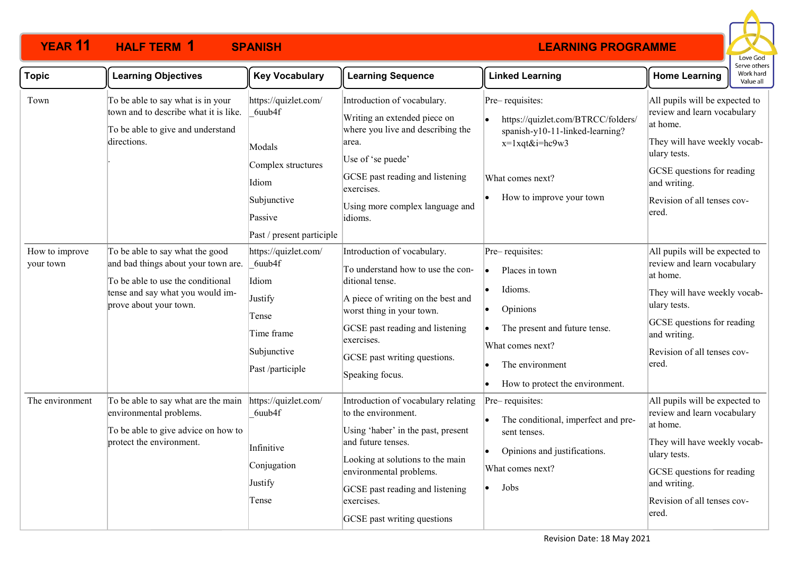

| <b>Topic</b>                | <b>Learning Objectives</b>                                                                                                                                                | <b>Key Vocabulary</b>                                                                                                          | <b>Learning Sequence</b>                                                                                                                                                                                                                                              | <b>Linked Learning</b>                                                                                                                                                                                          | <b>Home Learning</b>                                                                                                                                                                                            | Work hard<br>Value all |
|-----------------------------|---------------------------------------------------------------------------------------------------------------------------------------------------------------------------|--------------------------------------------------------------------------------------------------------------------------------|-----------------------------------------------------------------------------------------------------------------------------------------------------------------------------------------------------------------------------------------------------------------------|-----------------------------------------------------------------------------------------------------------------------------------------------------------------------------------------------------------------|-----------------------------------------------------------------------------------------------------------------------------------------------------------------------------------------------------------------|------------------------|
| Town                        | To be able to say what is in your<br>town and to describe what it is like.<br>To be able to give and understand<br>directions.                                            | https://quizlet.com/<br>6uub4f<br>Modals<br>Complex structures<br>Idiom<br>Subjunctive<br>Passive<br>Past / present participle | Introduction of vocabulary.<br>Writing an extended piece on<br>where you live and describing the<br>area.<br>Use of 'se puede'<br>GCSE past reading and listening<br>exercises.<br>Using more complex language and<br>idioms.                                         | Pre-requisites:<br>https://quizlet.com/BTRCC/folders/<br>l.<br>spanish-y10-11-linked-learning?<br>x=1xqt&i=hc9w3<br>What comes next?<br>How to improve your town<br>٠                                           | All pupils will be expected to<br>review and learn vocabulary<br>at home.<br>They will have weekly vocab-<br>ulary tests.<br>GCSE questions for reading<br>and writing.<br>Revision of all tenses cov-<br>ered. |                        |
| How to improve<br>your town | To be able to say what the good<br>and bad things about your town are.<br>To be able to use the conditional<br>tense and say what you would im-<br>prove about your town. | https://quizlet.com/<br>6uub4f<br>Idiom<br>Justify<br>Tense<br>Time frame<br>Subjunctive<br>Past /participle                   | Introduction of vocabulary.<br>To understand how to use the con-<br>ditional tense.<br>A piece of writing on the best and<br>worst thing in your town.<br>GCSE past reading and listening<br>exercises.<br>GCSE past writing questions.<br>Speaking focus.            | Pre-requisites:<br>Places in town<br>$\bullet$<br>Idioms.<br>Opinions<br>٠<br>The present and future tense.<br>$\bullet$<br>What comes next?<br>The environment<br>How to protect the environment.<br>$\bullet$ | All pupils will be expected to<br>review and learn vocabulary<br>at home.<br>They will have weekly vocab-<br>ulary tests.<br>GCSE questions for reading<br>and writing.<br>Revision of all tenses cov-<br>ered. |                        |
| The environment             | To be able to say what are the main<br>environmental problems.<br>To be able to give advice on how to<br>protect the environment.                                         | https://quizlet.com/<br>6uub4f<br>Infinitive<br>Conjugation<br>Justify<br>Tense                                                | Introduction of vocabulary relating<br>to the environment.<br>Using 'haber' in the past, present<br>and future tenses.<br>Looking at solutions to the main<br>environmental problems.<br>GCSE past reading and listening<br>exercises.<br>GCSE past writing questions | Pre-requisites:<br>The conditional, imperfect and pre-<br>sent tenses.<br>Opinions and justifications.<br>What comes next?<br>Jobs                                                                              | All pupils will be expected to<br>review and learn vocabulary<br>at home.<br>They will have weekly vocab-<br>ulary tests.<br>GCSE questions for reading<br>and writing.<br>Revision of all tenses cov-<br>ered. |                        |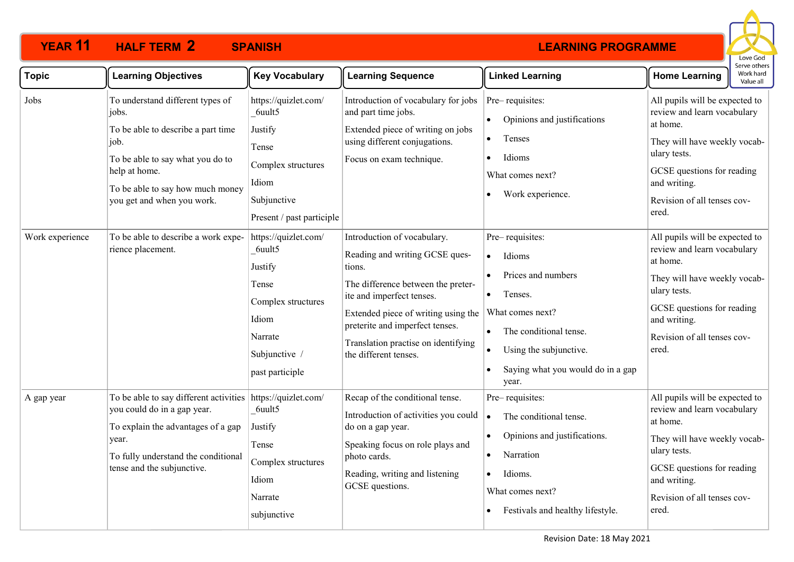

| <b>Topic</b>    | <b>Learning Objectives</b>                                                                                                                                                                                     | <b>Key Vocabulary</b>                                                                                                            | <b>Learning Sequence</b>                                                                                                                                                                                                                                                             | <b>Linked Learning</b>                                                                                                                                                                           | <b>Home Learning</b>                                                                                                                                                                                            | Work hard<br>Value all |
|-----------------|----------------------------------------------------------------------------------------------------------------------------------------------------------------------------------------------------------------|----------------------------------------------------------------------------------------------------------------------------------|--------------------------------------------------------------------------------------------------------------------------------------------------------------------------------------------------------------------------------------------------------------------------------------|--------------------------------------------------------------------------------------------------------------------------------------------------------------------------------------------------|-----------------------------------------------------------------------------------------------------------------------------------------------------------------------------------------------------------------|------------------------|
| Jobs            | To understand different types of<br>jobs.<br>To be able to describe a part time<br>job.<br>To be able to say what you do to<br>help at home.<br>To be able to say how much money<br>you get and when you work. | https://quizlet.com/<br>6uult5<br>Justify<br>Tense<br>Complex structures<br>Idiom<br>Subjunctive<br>Present / past participle    | Introduction of vocabulary for jobs<br>and part time jobs.<br>Extended piece of writing on jobs<br>using different conjugations.<br>Focus on exam technique.                                                                                                                         | Pre-requisites:<br>Opinions and justifications<br>Tenses<br>Idioms<br>What comes next?<br>Work experience.                                                                                       | All pupils will be expected to<br>review and learn vocabulary<br>at home.<br>They will have weekly vocab-<br>ulary tests.<br>GCSE questions for reading<br>and writing.<br>Revision of all tenses cov-<br>ered. |                        |
| Work experience | To be able to describe a work expe-<br>rience placement.                                                                                                                                                       | https://quizlet.com/<br>6uult5<br>Justify<br>Tense<br>Complex structures<br>Idiom<br>Narrate<br>Subjunctive /<br>past participle | Introduction of vocabulary.<br>Reading and writing GCSE ques-<br>tions.<br>The difference between the preter-<br>ite and imperfect tenses.<br>Extended piece of writing using the<br>preterite and imperfect tenses.<br>Translation practise on identifying<br>the different tenses. | Pre-requisites:<br>Idioms<br>$\bullet$<br>Prices and numbers<br>Tenses.<br>What comes next?<br>The conditional tense.<br>Using the subjunctive.<br>Saying what you would do in a gap<br>year.    | All pupils will be expected to<br>review and learn vocabulary<br>at home.<br>They will have weekly vocab-<br>ulary tests.<br>GCSE questions for reading<br>and writing.<br>Revision of all tenses cov-<br>ered. |                        |
| A gap year      | To be able to say different activities<br>you could do in a gap year.<br>To explain the advantages of a gap<br>year.<br>To fully understand the conditional<br>tense and the subjunctive.                      | https://quizlet.com/<br>6uult5<br>Justify<br>Tense<br>Complex structures<br>Idiom<br>Narrate<br>subjunctive                      | Recap of the conditional tense.<br>Introduction of activities you could<br>do on a gap year.<br>Speaking focus on role plays and<br>photo cards.<br>Reading, writing and listening<br>GCSE questions.                                                                                | Pre-requisites:<br>The conditional tense.<br>$\bullet$<br>Opinions and justifications.<br>$\bullet$<br>Narration<br>Idioms.<br>$\bullet$<br>What comes next?<br>Festivals and healthy lifestyle. | All pupils will be expected to<br>review and learn vocabulary<br>at home.<br>They will have weekly vocab-<br>ulary tests.<br>GCSE questions for reading<br>and writing.<br>Revision of all tenses cov-<br>ered. |                        |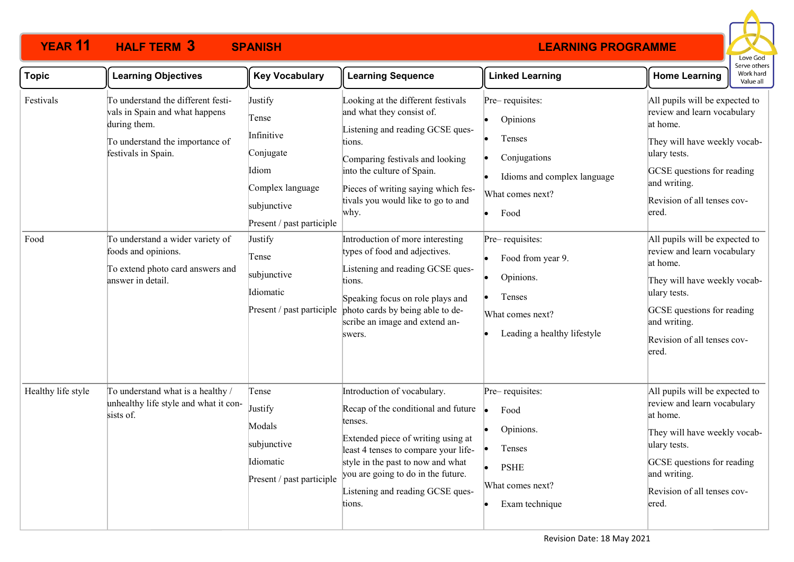

| <b>Topic</b>       | <b>Learning Objectives</b>                                                                                                                                                                                                                                         | <b>Key Vocabulary</b>                                                                                                                                                                             | <b>Learning Sequence</b>                                                                                                                                                                                                                                                                                                                                                                                                                                                                                   | <b>Linked Learning</b>                                                                                                                                                                                                             | serve other<br>Work hard<br><b>Home Learning</b><br>Value all                                                                                                                                                                                                                                                                                                                                                                      |
|--------------------|--------------------------------------------------------------------------------------------------------------------------------------------------------------------------------------------------------------------------------------------------------------------|---------------------------------------------------------------------------------------------------------------------------------------------------------------------------------------------------|------------------------------------------------------------------------------------------------------------------------------------------------------------------------------------------------------------------------------------------------------------------------------------------------------------------------------------------------------------------------------------------------------------------------------------------------------------------------------------------------------------|------------------------------------------------------------------------------------------------------------------------------------------------------------------------------------------------------------------------------------|------------------------------------------------------------------------------------------------------------------------------------------------------------------------------------------------------------------------------------------------------------------------------------------------------------------------------------------------------------------------------------------------------------------------------------|
| Festivals<br>Food  | To understand the different festi-<br>vals in Spain and what happens<br>during them.<br>To understand the importance of<br>festivals in Spain.<br>To understand a wider variety of<br>foods and opinions.<br>To extend photo card answers and<br>answer in detail. | Justify<br>Tense<br>Infinitive<br>Conjugate<br>Idiom<br>Complex language<br>subjunctive<br>Present / past participle<br>Justify<br>Tense<br>subjunctive<br>Idiomatic<br>Present / past participle | Looking at the different festivals<br>and what they consist of.<br>Listening and reading GCSE ques-<br>tions.<br>Comparing festivals and looking<br>into the culture of Spain.<br>Pieces of writing saying which fes-<br>tivals you would like to go to and<br>why.<br>Introduction of more interesting<br>types of food and adjectives.<br>Listening and reading GCSE ques-<br>tions.<br>Speaking focus on role plays and<br>photo cards by being able to de-<br>scribe an image and extend an-<br>swers. | Pre-requisites:<br>Opinions<br>Tenses<br>Conjugations<br>Idioms and complex language<br>What comes next?<br>Food<br>Pre-requisites:<br>Food from year 9.<br>Opinions.<br>Tenses<br>What comes next?<br>Leading a healthy lifestyle | All pupils will be expected to<br>review and learn vocabulary<br>at home.<br>They will have weekly vocab-<br>ulary tests.<br>GCSE questions for reading<br>and writing.<br>Revision of all tenses cov-<br>ered.<br>All pupils will be expected to<br>review and learn vocabulary<br>at home.<br>They will have weekly vocab-<br>ulary tests.<br>GCSE questions for reading<br>and writing.<br>Revision of all tenses cov-<br>ered. |
| Healthy life style | To understand what is a healthy /<br>unhealthy life style and what it con-<br>sists of.                                                                                                                                                                            | Tense<br>Justify<br>Modals<br>subjunctive<br>Idiomatic<br>Present / past participle                                                                                                               | Introduction of vocabulary.<br>Recap of the conditional and future<br>tenses.<br>Extended piece of writing using at<br>least 4 tenses to compare your life-<br>style in the past to now and what<br>you are going to do in the future.<br>Listening and reading GCSE ques-<br>tions.                                                                                                                                                                                                                       | Pre-requisites:<br>Food<br>Opinions.<br>Tenses<br><b>PSHE</b><br>What comes next?<br>Exam technique                                                                                                                                | All pupils will be expected to<br>review and learn vocabulary<br>at home.<br>They will have weekly vocab-<br>ulary tests.<br>GCSE questions for reading<br>and writing.<br>Revision of all tenses cov-<br>ered.                                                                                                                                                                                                                    |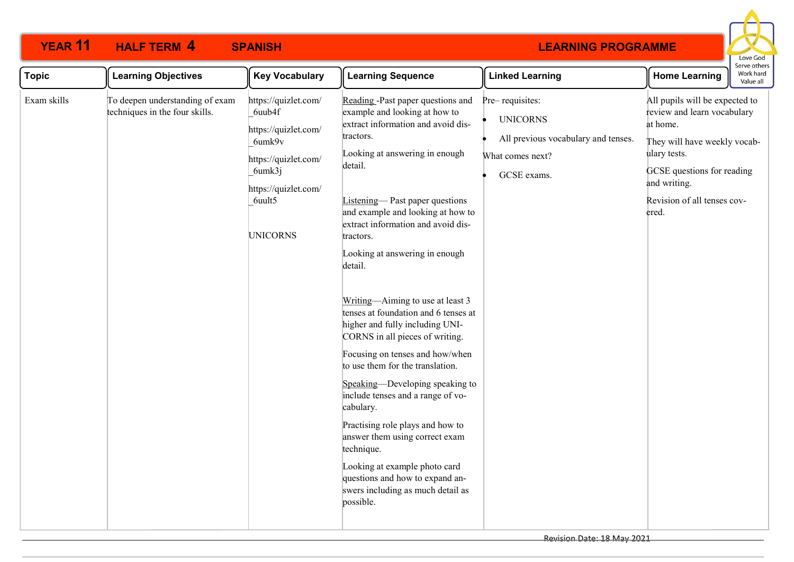

| <b>Topic</b> | <b>Learning Objectives</b>                                        | <b>Key Vocabulary</b>                                                                                                                                   | <b>Learning Sequence</b>                                                                                                                                                                                                                                                                                                                                                                                                                                                                                                                                                                                                                                                                                                                                                                                                                                          | <b>Linked Learning</b>                                                                                       | <b>Home Learning</b>                                                                                                                                                                                            | ו יכטווכו<br>Work hard<br>Value all |
|--------------|-------------------------------------------------------------------|---------------------------------------------------------------------------------------------------------------------------------------------------------|-------------------------------------------------------------------------------------------------------------------------------------------------------------------------------------------------------------------------------------------------------------------------------------------------------------------------------------------------------------------------------------------------------------------------------------------------------------------------------------------------------------------------------------------------------------------------------------------------------------------------------------------------------------------------------------------------------------------------------------------------------------------------------------------------------------------------------------------------------------------|--------------------------------------------------------------------------------------------------------------|-----------------------------------------------------------------------------------------------------------------------------------------------------------------------------------------------------------------|-------------------------------------|
| Exam skills  | To deepen understanding of exam<br>techniques in the four skills. | https://quizlet.com/<br>6uub4f<br>https://quizlet.com/<br>6umk9v<br>https://quizlet.com/<br>6umk3j<br>https://quizlet.com/<br>6uult5<br><b>UNICORNS</b> | Reading -Past paper questions and<br>example and looking at how to<br>extract information and avoid dis-<br>tractors.<br>Looking at answering in enough<br>detail.<br>Listening-Past paper questions<br>and example and looking at how to<br>extract information and avoid dis-<br>tractors.<br>Looking at answering in enough<br>detail.<br>Writing-Aiming to use at least 3<br>tenses at foundation and 6 tenses at<br>higher and fully including UNI-<br>CORNS in all pieces of writing.<br>Focusing on tenses and how/when<br>to use them for the translation.<br>Speaking-Developing speaking to<br>include tenses and a range of vo-<br>cabulary.<br>Practising role plays and how to<br>answer them using correct exam<br>technique.<br>Looking at example photo card<br>questions and how to expand an-<br>swers including as much detail as<br>possible. | Pre-requisites:<br><b>UNICORNS</b><br>All previous vocabulary and tenses.<br>What comes next?<br>GCSE exams. | All pupils will be expected to<br>review and learn vocabulary<br>at home.<br>They will have weekly vocab-<br>ulary tests.<br>GCSE questions for reading<br>and writing.<br>Revision of all tenses cov-<br>ered. |                                     |